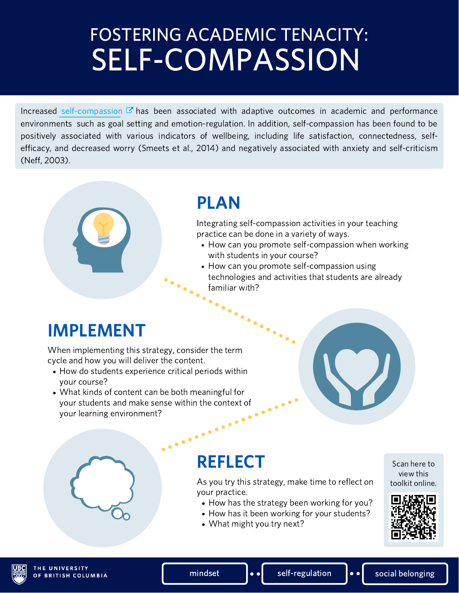## FOSTERING ACADEMIC TENACITY: SELF-COMPASSION

Increased [self-compassion](https://self-compassion.org/the-three-elements-of-self-compassion-2/)  $\mathbb{Z}$  has been associated with adaptive outcomes in academic and performance environments such as goal setting and emotion-regulation. In addition, self-compassion has been found to be positively associated with various indicators of wellbeing, including life satisfaction, connectedness, selfefficacy, and decreased worry (Smeets et al., 2014) and negatively associated with anxiety and self-criticism (Neff, 2003).

### PLAN

Integrating self-compassion activities in your teaching practice can be done in a variety of ways.

- How can you promote self-compassion when working with students in your course?
- How can you promote self-compassion using technologies and activities that students are already familiar with?

### IMPLEMENT

When implementing this strategy, consider the term cycle and how you will deliver the content.

- How do students experience critical periods within your course?
- What kinds of content can be both meaningful for your students and make sense within the context of your learning environment? your learning environment?

### **REFLECT**

As you try this strategy, make time to reflect on your practice.

- How has the strategy been working for you?
- How has it been working for your students?
- What might you try next?





mindset  $\|\cdot\|$  self-regulation  $\|\cdot\|$  social belonging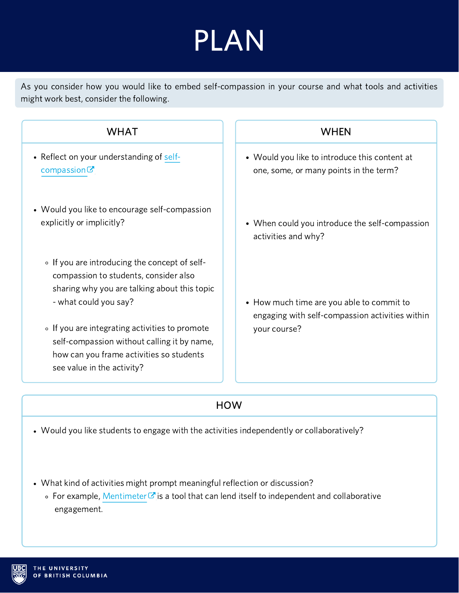## PLAN

As you consider how you would like to embed self-compassion in your course and what tools and activities might work best, consider the following.

#### WHAT

- Reflect on your understanding of [self](https://self-compassion.org/the-three-elements-of-self-compassion-2/) $compassionC$
- Would you like to encourage self-compassion explicitly or implicitly?
	- If you are introducing the concept of selfcompassion to students, consider also sharing why you are talking about this topic - what could you say?
	- If you are integrating activities to promote self-compassion without calling it by name, how can you frame activities so students see value in the activity?

#### WHEN

- Would you like to introduce this content at one, some, or many points in the term?
- When could you introduce the self-compassion activities and why?
- How much time are you able to commit to engaging with self-compassion activities within your course?

#### **HOW**

- Would you like students to engage with the activities independently or collaboratively?
- What kind of activities might prompt meaningful reflection or discussion?
	- $\circ$  For example, [Mentimeter](https://scarfedigitalsandbox.teach.educ.ubc.ca/mentimeter/)  $\sigma$  is a tool that can lend itself to independent and collaborative engagement.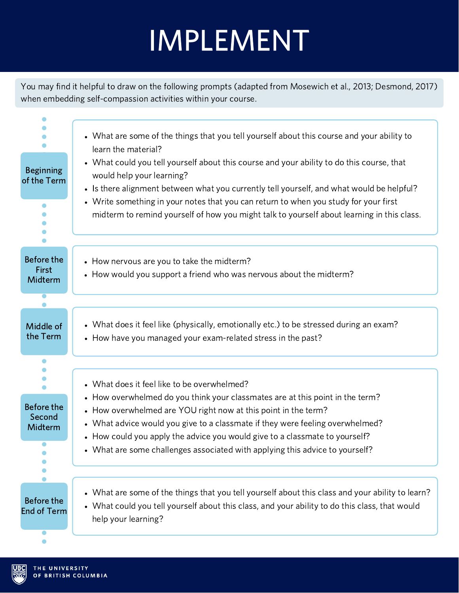## IMPLEMENT

You may find it helpful to draw on the following prompts (adapted from Mosewich et al., 2013; Desmond, 2017) when embedding self-compassion activities within your course.

| <b>Beginning</b><br>of the Term                      | • What are some of the things that you tell yourself about this course and your ability to<br>learn the material?<br>• What could you tell yourself about this course and your ability to do this course, that<br>would help your learning?<br>• Is there alignment between what you currently tell yourself, and what would be helpful?<br>• Write something in your notes that you can return to when you study for your first<br>midterm to remind yourself of how you might talk to yourself about learning in this class. |
|------------------------------------------------------|--------------------------------------------------------------------------------------------------------------------------------------------------------------------------------------------------------------------------------------------------------------------------------------------------------------------------------------------------------------------------------------------------------------------------------------------------------------------------------------------------------------------------------|
| Before the<br>First<br>Midterm                       | • How nervous are you to take the midterm?<br>• How would you support a friend who was nervous about the midterm?                                                                                                                                                                                                                                                                                                                                                                                                              |
| Middle of<br>the Term                                | • What does it feel like (physically, emotionally etc.) to be stressed during an exam?<br>• How have you managed your exam-related stress in the past?                                                                                                                                                                                                                                                                                                                                                                         |
| <b>Before the</b><br>Second<br>Midterm<br>$\bullet$  | • What does it feel like to be overwhelmed?<br>• How overwhelmed do you think your classmates are at this point in the term?<br>• How overwhelmed are YOU right now at this point in the term?<br>• What advice would you give to a classmate if they were feeling overwhelmed?<br>• How could you apply the advice you would give to a classmate to yourself?<br>What are some challenges associated with applying this advice to yourself?                                                                                   |
| <b>Before the</b><br><b>End of Term</b><br>$\bullet$ | • What are some of the things that you tell yourself about this class and your ability to learn?<br>• What could you tell yourself about this class, and your ability to do this class, that would<br>help your learning?                                                                                                                                                                                                                                                                                                      |